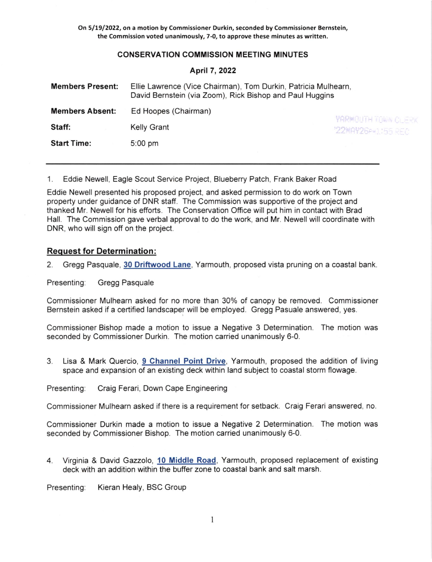On 5/19/2022, on a motion by Commissioner Durkin, seconded by Commissioner Bernstein, the Commission voted unanimously, 7-0, to approve these minutes as written.

# **CONSERVATION COMMISSION MEETING MINUTES**

#### April7,2022

| <b>Members Present:</b> | Ellie Lawrence (Vice Chairman), Tom Durkin, Patricia Mulhearn,<br>David Bernstein (via Zoom), Rick Bishop and Paul Huggins |                         |
|-------------------------|----------------------------------------------------------------------------------------------------------------------------|-------------------------|
| <b>Members Absent:</b>  | Ed Hoopes (Chairman)                                                                                                       | <b>YARMOUTH TOWN CL</b> |
| Staff:                  | <b>Kelly Grant</b>                                                                                                         | "22MAY26PM1:55 RE       |
| <b>Start Time:</b>      | $5:00$ pm                                                                                                                  |                         |

1. Eddie Newell, Eagle Scout Service Project, Blueberry Patch, Frank Baker Road

Eddie Newell presented his proposed project, and asked permission to do work on Town property under guidance of DNR staff. The Commission was supportive of the project and thanked Mr. Newell for his efforts. The Conservation Office will put him in contact with Brad Hall. The Commission gave verbal approval to do the work, and Mr. Newell will coordinate with DNR, who will sign off on the project.

# Request for Determination:

2. Gregg Pasquale, 30 Driftwood Lane, Yarmouth, proposed vista pruning on a coastal bank.

Presenting: Gregg Pasquale

Commissioner Mulhearn asked for no more than 30% of canopy be removed. Commissioner Bernstein asked if a certified landscaper will be employed. Gregg Pasuale answered, yes.

Commissioner Bishop made a motion to issue a Negative 3 Determination. The motion was seconded by Commissioner Durkin. The motion carried unanimously 6-0.

3. Lisa & Mark Quercio, 9 Channel Point Drive, Yarmouth, proposed the addition of living space and expansion of an existing deck within land subject to coastal storm flowage.

Presenting: Craig Ferari, Down Cape Engineering

Commissioner Mulhearn asked if there is a requirement for setback. Craig Ferari answered, no.

Commissioner Durkin made a motion to issue a Negative 2 Determination. The motion was seconded by Commissioner Bishop. The motion carried unanimously 6-0.

4. Virginia & David Gazzolo, 10 Middle Road, Yarmouth, proposed replacement of existing deck with an addition within the buffer zone to coastal bank and salt marsh.

Presenting: Kieran Healy, BSC Group